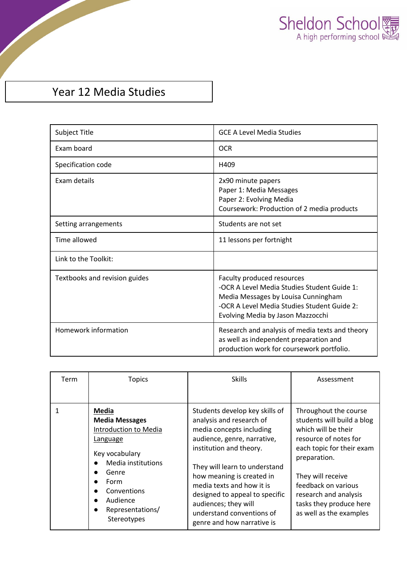

## Year 12 Media Studies

| Subject Title                 | <b>GCE A Level Media Studies</b>                                                                                                                                                                     |
|-------------------------------|------------------------------------------------------------------------------------------------------------------------------------------------------------------------------------------------------|
| Exam board                    | <b>OCR</b>                                                                                                                                                                                           |
| Specification code            | H409                                                                                                                                                                                                 |
| Exam details                  | 2x90 minute papers<br>Paper 1: Media Messages<br>Paper 2: Evolving Media<br>Coursework: Production of 2 media products                                                                               |
| Setting arrangements          | Students are not set                                                                                                                                                                                 |
| Time allowed                  | 11 lessons per fortnight                                                                                                                                                                             |
| Link to the Toolkit:          |                                                                                                                                                                                                      |
| Textbooks and revision guides | Faculty produced resources<br>-OCR A Level Media Studies Student Guide 1:<br>Media Messages by Louisa Cunningham<br>-OCR A Level Media Studies Student Guide 2:<br>Evolving Media by Jason Mazzocchi |
| Homework information          | Research and analysis of media texts and theory<br>as well as independent preparation and<br>production work for coursework portfolio.                                                               |

| Term | <b>Topics</b>                                                                                                                                                                              | <b>Skills</b>                                                                                                                                                                                                                                                                                                                                                    | Assessment                                                                                                                                                                                                                                                                  |
|------|--------------------------------------------------------------------------------------------------------------------------------------------------------------------------------------------|------------------------------------------------------------------------------------------------------------------------------------------------------------------------------------------------------------------------------------------------------------------------------------------------------------------------------------------------------------------|-----------------------------------------------------------------------------------------------------------------------------------------------------------------------------------------------------------------------------------------------------------------------------|
|      | Media<br><b>Media Messages</b><br>Introduction to Media<br>Language<br>Key vocabulary<br>Media institutions<br>Genre<br>Form<br>Conventions<br>Audience<br>Representations/<br>Stereotypes | Students develop key skills of<br>analysis and research of<br>media concepts including<br>audience, genre, narrative,<br>institution and theory.<br>They will learn to understand<br>how meaning is created in<br>media texts and how it is<br>designed to appeal to specific<br>audiences; they will<br>understand conventions of<br>genre and how narrative is | Throughout the course<br>students will build a blog<br>which will be their<br>resource of notes for<br>each topic for their exam<br>preparation.<br>They will receive<br>feedback on various<br>research and analysis<br>tasks they produce here<br>as well as the examples |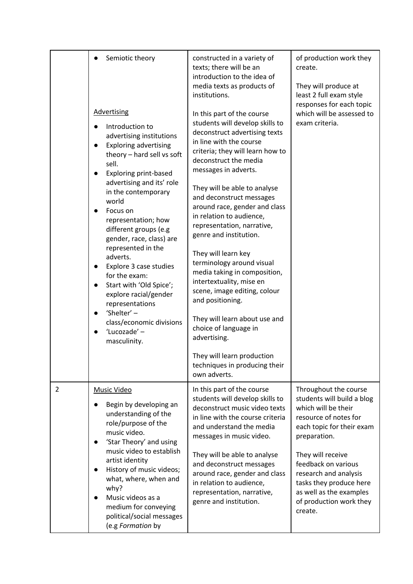|                | Semiotic theory                                                                                                                                                                                                                                                                                                                                                                                                                                                                                                                                                                                                               | constructed in a variety of<br>texts; there will be an<br>introduction to the idea of<br>media texts as products of                                                                                                                                                                                                                                                                                                                                                                                                                                                                                                                                                                                                                           | of production work they<br>create.<br>They will produce at                                                                                                                                                                                                                                                        |
|----------------|-------------------------------------------------------------------------------------------------------------------------------------------------------------------------------------------------------------------------------------------------------------------------------------------------------------------------------------------------------------------------------------------------------------------------------------------------------------------------------------------------------------------------------------------------------------------------------------------------------------------------------|-----------------------------------------------------------------------------------------------------------------------------------------------------------------------------------------------------------------------------------------------------------------------------------------------------------------------------------------------------------------------------------------------------------------------------------------------------------------------------------------------------------------------------------------------------------------------------------------------------------------------------------------------------------------------------------------------------------------------------------------------|-------------------------------------------------------------------------------------------------------------------------------------------------------------------------------------------------------------------------------------------------------------------------------------------------------------------|
|                | <b>Advertising</b><br>Introduction to<br>$\bullet$<br>advertising institutions<br><b>Exploring advertising</b><br>$\bullet$<br>theory - hard sell vs soft<br>sell.<br><b>Exploring print-based</b><br>advertising and its' role<br>in the contemporary<br>world<br>Focus on<br>representation; how<br>different groups (e.g<br>gender, race, class) are<br>represented in the<br>adverts.<br>Explore 3 case studies<br>$\bullet$<br>for the exam:<br>Start with 'Old Spice';<br>$\bullet$<br>explore racial/gender<br>representations<br>'Shelter' -<br>$\bullet$<br>class/economic divisions<br>'Lucozade' -<br>masculinity. | institutions.<br>In this part of the course<br>students will develop skills to<br>deconstruct advertising texts<br>in line with the course<br>criteria; they will learn how to<br>deconstruct the media<br>messages in adverts.<br>They will be able to analyse<br>and deconstruct messages<br>around race, gender and class<br>in relation to audience,<br>representation, narrative,<br>genre and institution.<br>They will learn key<br>terminology around visual<br>media taking in composition,<br>intertextuality, mise en<br>scene, image editing, colour<br>and positioning.<br>They will learn about use and<br>choice of language in<br>advertising.<br>They will learn production<br>techniques in producing their<br>own adverts. | least 2 full exam style<br>responses for each topic<br>which will be assessed to<br>exam criteria.                                                                                                                                                                                                                |
| $\overline{2}$ | <b>Music Video</b><br>Begin by developing an<br>understanding of the<br>role/purpose of the<br>music video.<br>'Star Theory' and using<br>$\bullet$<br>music video to establish<br>artist identity<br>History of music videos;<br>what, where, when and<br>why?<br>Music videos as a<br>medium for conveying<br>political/social messages<br>(e.g Formation by                                                                                                                                                                                                                                                                | In this part of the course<br>students will develop skills to<br>deconstruct music video texts<br>in line with the course criteria<br>and understand the media<br>messages in music video.<br>They will be able to analyse<br>and deconstruct messages<br>around race, gender and class<br>in relation to audience,<br>representation, narrative,<br>genre and institution.                                                                                                                                                                                                                                                                                                                                                                   | Throughout the course<br>students will build a blog<br>which will be their<br>resource of notes for<br>each topic for their exam<br>preparation.<br>They will receive<br>feedback on various<br>research and analysis<br>tasks they produce here<br>as well as the examples<br>of production work they<br>create. |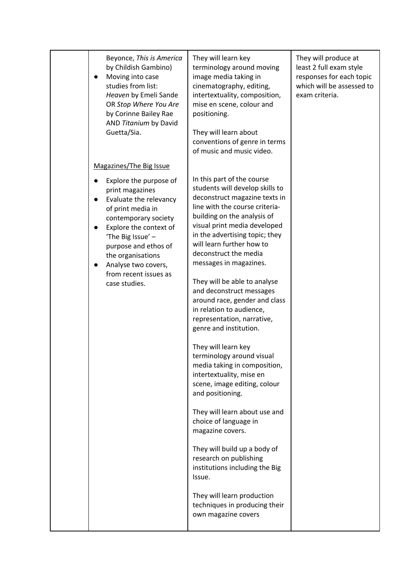| Beyonce, This is America<br>by Childish Gambino)<br>Moving into case<br>studies from list:<br>Heaven by Emeli Sande<br>OR Stop Where You Are<br>by Corinne Bailey Rae<br>AND Titanium by David<br>Guetta/Sia.                                                                 | They will learn key<br>terminology around moving<br>image media taking in<br>cinematography, editing,<br>intertextuality, composition,<br>mise en scene, colour and<br>positioning.<br>They will learn about<br>conventions of genre in terms<br>of music and music video.                                                                                                                                                                                                                                                                                                                                                                                                                                                                                                                                                                                                                                                                       | They will produce at<br>least 2 full exam style<br>responses for each topic<br>which will be assessed to<br>exam criteria. |
|-------------------------------------------------------------------------------------------------------------------------------------------------------------------------------------------------------------------------------------------------------------------------------|--------------------------------------------------------------------------------------------------------------------------------------------------------------------------------------------------------------------------------------------------------------------------------------------------------------------------------------------------------------------------------------------------------------------------------------------------------------------------------------------------------------------------------------------------------------------------------------------------------------------------------------------------------------------------------------------------------------------------------------------------------------------------------------------------------------------------------------------------------------------------------------------------------------------------------------------------|----------------------------------------------------------------------------------------------------------------------------|
| Magazines/The Big Issue                                                                                                                                                                                                                                                       |                                                                                                                                                                                                                                                                                                                                                                                                                                                                                                                                                                                                                                                                                                                                                                                                                                                                                                                                                  |                                                                                                                            |
| Explore the purpose of<br>print magazines<br>Evaluate the relevancy<br>of print media in<br>contemporary society<br>Explore the context of<br>'The Big Issue' -<br>purpose and ethos of<br>the organisations<br>Analyse two covers,<br>from recent issues as<br>case studies. | In this part of the course<br>students will develop skills to<br>deconstruct magazine texts in<br>line with the course criteria-<br>building on the analysis of<br>visual print media developed<br>in the advertising topic; they<br>will learn further how to<br>deconstruct the media<br>messages in magazines.<br>They will be able to analyse<br>and deconstruct messages<br>around race, gender and class<br>in relation to audience,<br>representation, narrative,<br>genre and institution.<br>They will learn key<br>terminology around visual<br>media taking in composition,<br>intertextuality, mise en<br>scene, image editing, colour<br>and positioning.<br>They will learn about use and<br>choice of language in<br>magazine covers.<br>They will build up a body of<br>research on publishing<br>institutions including the Big<br>Issue.<br>They will learn production<br>techniques in producing their<br>own magazine covers |                                                                                                                            |
|                                                                                                                                                                                                                                                                               |                                                                                                                                                                                                                                                                                                                                                                                                                                                                                                                                                                                                                                                                                                                                                                                                                                                                                                                                                  |                                                                                                                            |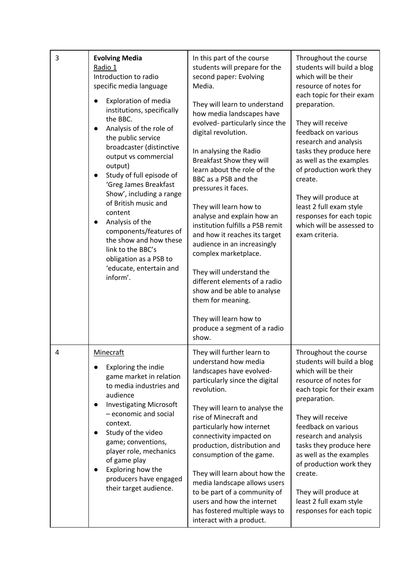| 3 | <b>Evolving Media</b><br>Radio 1<br>Introduction to radio<br>specific media language<br><b>Exploration of media</b><br>institutions, specifically<br>the BBC.<br>Analysis of the role of<br>$\bullet$<br>the public service<br>broadcaster (distinctive<br>output vs commercial<br>output)<br>Study of full episode of<br>'Greg James Breakfast<br>Show', including a range<br>of British music and<br>content<br>Analysis of the<br>$\bullet$<br>components/features of<br>the show and how these<br>link to the BBC's<br>obligation as a PSB to<br>'educate, entertain and<br>inform'. | In this part of the course<br>students will prepare for the<br>second paper: Evolving<br>Media.<br>They will learn to understand<br>how media landscapes have<br>evolved- particularly since the<br>digital revolution.<br>In analysing the Radio<br><b>Breakfast Show they will</b><br>learn about the role of the<br>BBC as a PSB and the<br>pressures it faces.<br>They will learn how to<br>analyse and explain how an<br>institution fulfills a PSB remit<br>and how it reaches its target<br>audience in an increasingly<br>complex marketplace.<br>They will understand the<br>different elements of a radio<br>show and be able to analyse<br>them for meaning.<br>They will learn how to<br>produce a segment of a radio<br>show. | Throughout the course<br>students will build a blog<br>which will be their<br>resource of notes for<br>each topic for their exam<br>preparation.<br>They will receive<br>feedback on various<br>research and analysis<br>tasks they produce here<br>as well as the examples<br>of production work they<br>create.<br>They will produce at<br>least 2 full exam style<br>responses for each topic<br>which will be assessed to<br>exam criteria. |
|---|------------------------------------------------------------------------------------------------------------------------------------------------------------------------------------------------------------------------------------------------------------------------------------------------------------------------------------------------------------------------------------------------------------------------------------------------------------------------------------------------------------------------------------------------------------------------------------------|--------------------------------------------------------------------------------------------------------------------------------------------------------------------------------------------------------------------------------------------------------------------------------------------------------------------------------------------------------------------------------------------------------------------------------------------------------------------------------------------------------------------------------------------------------------------------------------------------------------------------------------------------------------------------------------------------------------------------------------------|-------------------------------------------------------------------------------------------------------------------------------------------------------------------------------------------------------------------------------------------------------------------------------------------------------------------------------------------------------------------------------------------------------------------------------------------------|
| 4 | <b>Minecraft</b><br>Exploring the indie<br>game market in relation<br>to media industries and<br>audience<br><b>Investigating Microsoft</b><br>- economic and social<br>context.<br>Study of the video<br>game; conventions,<br>player role, mechanics<br>of game play<br>Exploring how the<br>producers have engaged<br>their target audience.                                                                                                                                                                                                                                          | They will further learn to<br>understand how media<br>landscapes have evolved-<br>particularly since the digital<br>revolution.<br>They will learn to analyse the<br>rise of Minecraft and<br>particularly how internet<br>connectivity impacted on<br>production, distribution and<br>consumption of the game.<br>They will learn about how the<br>media landscape allows users<br>to be part of a community of<br>users and how the internet<br>has fostered multiple ways to<br>interact with a product.                                                                                                                                                                                                                                | Throughout the course<br>students will build a blog<br>which will be their<br>resource of notes for<br>each topic for their exam<br>preparation.<br>They will receive<br>feedback on various<br>research and analysis<br>tasks they produce here<br>as well as the examples<br>of production work they<br>create.<br>They will produce at<br>least 2 full exam style<br>responses for each topic                                                |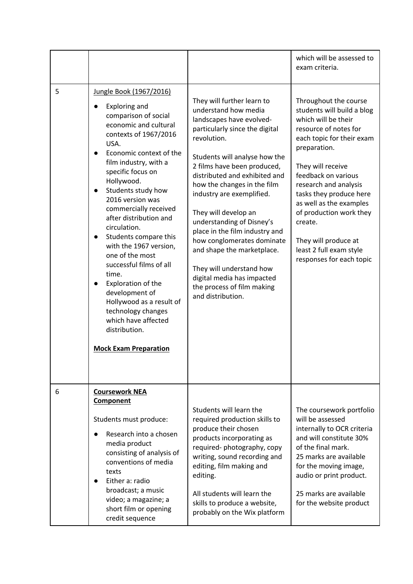|   |                                                                                                                                                                                                                                                                                                                                                                                                                                                                                                                                                                                                                                |                                                                                                                                                                                                                                                                                                                                                                                                                                                                                                                                                              | which will be assessed to<br>exam criteria.                                                                                                                                                                                                                                                                                                                                                      |
|---|--------------------------------------------------------------------------------------------------------------------------------------------------------------------------------------------------------------------------------------------------------------------------------------------------------------------------------------------------------------------------------------------------------------------------------------------------------------------------------------------------------------------------------------------------------------------------------------------------------------------------------|--------------------------------------------------------------------------------------------------------------------------------------------------------------------------------------------------------------------------------------------------------------------------------------------------------------------------------------------------------------------------------------------------------------------------------------------------------------------------------------------------------------------------------------------------------------|--------------------------------------------------------------------------------------------------------------------------------------------------------------------------------------------------------------------------------------------------------------------------------------------------------------------------------------------------------------------------------------------------|
| 5 | Jungle Book (1967/2016)<br><b>Exploring and</b><br>comparison of social<br>economic and cultural<br>contexts of 1967/2016<br>USA.<br>Economic context of the<br>film industry, with a<br>specific focus on<br>Hollywood.<br>Students study how<br>2016 version was<br>commercially received<br>after distribution and<br>circulation.<br>Students compare this<br>$\bullet$<br>with the 1967 version,<br>one of the most<br>successful films of all<br>time.<br>Exploration of the<br>development of<br>Hollywood as a result of<br>technology changes<br>which have affected<br>distribution.<br><b>Mock Exam Preparation</b> | They will further learn to<br>understand how media<br>landscapes have evolved-<br>particularly since the digital<br>revolution.<br>Students will analyse how the<br>2 films have been produced,<br>distributed and exhibited and<br>how the changes in the film<br>industry are exemplified.<br>They will develop an<br>understanding of Disney's<br>place in the film industry and<br>how conglomerates dominate<br>and shape the marketplace.<br>They will understand how<br>digital media has impacted<br>the process of film making<br>and distribution. | Throughout the course<br>students will build a blog<br>which will be their<br>resource of notes for<br>each topic for their exam<br>preparation.<br>They will receive<br>feedback on various<br>research and analysis<br>tasks they produce here<br>as well as the examples<br>of production work they<br>create.<br>They will produce at<br>least 2 full exam style<br>responses for each topic |
| 6 | <b>Coursework NEA</b><br>Component<br>Students must produce:<br>Research into a chosen<br>media product<br>consisting of analysis of<br>conventions of media<br>texts<br>Either a: radio<br>broadcast; a music<br>video; a magazine; a<br>short film or opening<br>credit sequence                                                                                                                                                                                                                                                                                                                                             | Students will learn the<br>required production skills to<br>produce their chosen<br>products incorporating as<br>required-photography, copy<br>writing, sound recording and<br>editing, film making and<br>editing.<br>All students will learn the<br>skills to produce a website,<br>probably on the Wix platform                                                                                                                                                                                                                                           | The coursework portfolio<br>will be assessed<br>internally to OCR criteria<br>and will constitute 30%<br>of the final mark.<br>25 marks are available<br>for the moving image,<br>audio or print product.<br>25 marks are available<br>for the website product                                                                                                                                   |